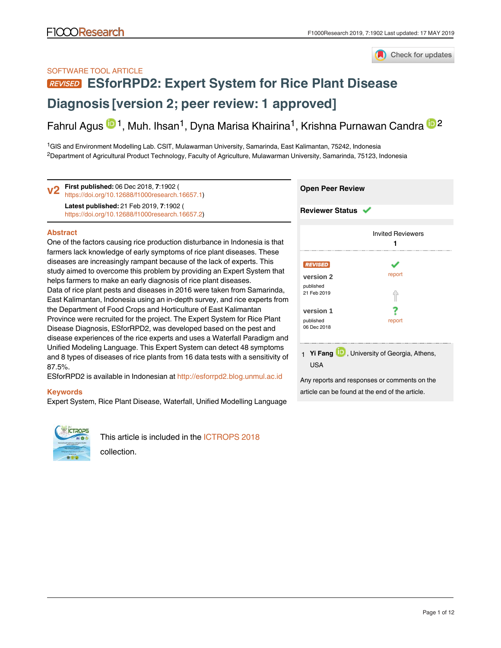

#### SOFTWARE TOOL ARTICLE

# **[ESforRPD2: Expert System for Rice Plant Disease](https://f1000research.com/articles/7-1902/v2)**

## **[Diagnosis](https://f1000research.com/articles/7-1902/v2) [version 2; peer review: 1 approved]**

Fahrul Agus <sup>(D 1</sup>, Muh. Ihsan<sup>1</sup>, Dyna Marisa Khairina<sup>1</sup>, Krishna Purnawan Candra <sup>(D 2</sup>

<sup>1</sup>GIS and Environment Modelling Lab. CSIT, Mulawarman University, Samarinda, East Kalimantan, 75242, Indonesia  $^2$ Department of Agricultural Product Technology, Faculty of Agriculture, Mulawarman University, Samarinda, 75123, Indonesia

**First published:** 06 Dec 2018, **7**:1902 ( **v2** First published: 06 Dec 2018, 7:1902 (<https://doi.org/10.12688/f1000research.16657.1>) Latest published: 21 Feb 2019, 7:1902 ( <https://doi.org/10.12688/f1000research.16657.2>)

#### **Abstract**

One of the factors causing rice production disturbance in Indonesia is that farmers lack knowledge of early symptoms of rice plant diseases. These diseases are increasingly rampant because of the lack of experts. This study aimed to overcome this problem by providing an Expert System that helps farmers to make an early diagnosis of rice plant diseases. Data of rice plant pests and diseases in 2016 were taken from Samarinda, East Kalimantan, Indonesia using an in-depth survey, and rice experts from the Department of Food Crops and Horticulture of East Kalimantan Province were recruited for the project. The Expert System for Rice Plant Disease Diagnosis, ESforRPD2, was developed based on the pest and disease experiences of the rice experts and uses a Waterfall Paradigm and Unified Modeling Language. This Expert System can detect 48 symptoms and 8 types of diseases of rice plants from 16 data tests with a sensitivity of 87.5%.

ESforRPD2 is available in Indonesian at <http://esforrpd2.blog.unmul.ac.id>

#### **Keywords**

Expert System, Rice Plant Disease, Waterfall, Unified Modelling Language



This article is included in the [ICTROPS 2018](https://f1000research.com/collections/ICTROPS2018) collection.

#### **Open Peer Review**

#### **Reviewer Status**

|                          | <b>Invited Reviewers</b>                    |
|--------------------------|---------------------------------------------|
| <b>REVISED</b>           |                                             |
|                          |                                             |
| version 2                | report                                      |
| published                |                                             |
| 21 Feb 2019              |                                             |
| version 1                |                                             |
|                          |                                             |
| published<br>06 Dec 2018 | report                                      |
|                          |                                             |
|                          | 1 Yi Fang D, University of Georgia, Athens, |
| USA                      |                                             |

Any reports and responses or comments on the article can be found at the end of the article.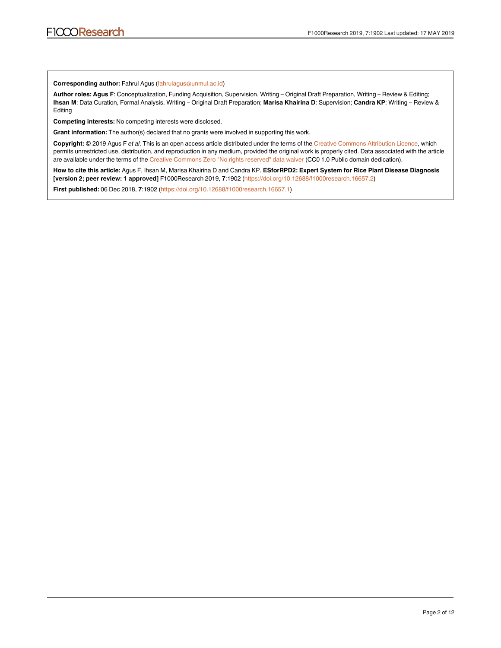#### **Corresponding author:** Fahrul Agus (fahrulagus@unmul.ac.id)

Author roles: Agus F: Conceptualization, Funding Acquisition, Supervision, Writing – Original Draft Preparation, Writing – Review & Editing; **Ihsan M**: Data Curation, Formal Analysis, Writing – Original Draft Preparation; **Marisa Khairina D**: Supervision; **Candra KP**: Writing – Review & Editing

**Competing interests:** No competing interests were disclosed.

**Grant information:** The author(s) declared that no grants were involved in supporting this work.

Copyright: © 2019 Agus F et al. This is an open access article distributed under the terms of the [Creative Commons Attribution Licence,](http://creativecommons.org/licenses/by/4.0/) which permits unrestricted use, distribution, and reproduction in any medium, provided the original work is properly cited. Data associated with the article are available under the terms of the [Creative Commons Zero "No rights reserved" data waiver](http://creativecommons.org/publicdomain/zero/1.0/) (CC0 1.0 Public domain dedication).

**How to cite this article:** Agus F, Ihsan M, Marisa Khairina D and Candra KP. **ESforRPD2: Expert System for Rice Plant Disease Diagnosis [version 2; peer review: 1 approved]** F1000Research 2019, :1902 ( **7** [https://doi.org/10.12688/f1000research.16657.2\)](https://doi.org/10.12688/f1000research.16657.2)

**First published:** 06 Dec 2018, 7:1902 (<https://doi.org/10.12688/f1000research.16657.1>)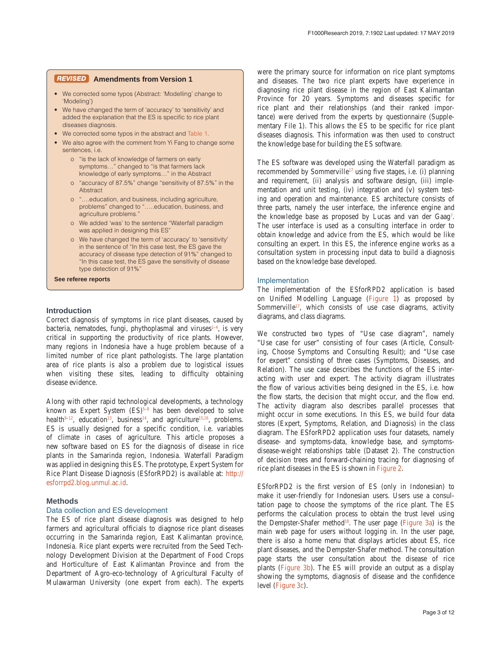#### **Amendments from Version 1** *REVISED*

- We corrected some typos (Abstract: 'Modelling' change to 'Modeling')
- We have changed the term of 'accuracy' to 'sensitivity' and added the explanation that the ES is specific to rice plant diseases diagnosis.
- We corrected some typos in the abstract and [Table 1.](#page-7-0)
- We also agree with the comment from Yi Fang to change some sentences, i.e.
	- o "is the lack of knowledge of farmers on early symptoms…" changed to "is that farmers lack knowledge of early symptoms…" in the Abstract
	- o "accuracy of 87.5%" change "sensitivity of 87.5%" in the Abstract
	- o "….education, and business, including agriculture, problems" changed to "…..education, business, and agriculture problems."
	- o We added 'was' to the sentence "Waterfall paradigm was applied in designing this ES"
	- o We have changed the term of 'accuracy' to 'sensitivity' in the sentence of "In this case test, the ES gave the accuracy of disease type detection of 91%" changed to "In this case test, the ES gave the sensitivity of disease type detection of 91%"

**See referee reports**

#### **Introduction**

Correct diagnosis of symptoms in rice plant diseases, caused by bacteria, nematodes, fungi, phythoplasmal and viruses<sup>1-4</sup>, is very critical in supporting the productivity of rice plants. However, many regions in Indonesia have a huge problem because of a limited number of rice plant pathologists. The large plantation area of rice plants is also a problem due to logistical issues when visiting these sites, leading to difficulty obtaining disease evidence.

Along with other rapid technological developments, a technology known as Expert System  $(ES)^{5-8}$  has been developed to solve health $9-12$ , education<sup>13</sup>, business<sup>[14](#page-8-0)</sup>, and agriculture<sup>15,16</sup>, problems. ES is usually designed for a specific condition, i.e. variables of climate in cases of agriculture. This article proposes a new software based on ES for the diagnosis of disease in rice plants in the Samarinda region, Indonesia. Waterfall Paradigm was applied in designing this ES. The prototype, Expert System for Rice Plant Disease Diagnosis (ESforRPD2) is available at: [http://](http://esforrpd2.blog.unmul.ac.id/) [esforrpd2.blog.unmul.ac.id](http://esforrpd2.blog.unmul.ac.id/).

#### **Methods**

#### Data collection and ES development

The ES of rice plant disease diagnosis was designed to help farmers and agricultural officials to diagnose rice plant diseases occurring in the Samarinda region, East Kalimantan province, Indonesia. Rice plant experts were recruited from the Seed Technology Development Division at the Department of Food Crops and Horticulture of East Kalimantan Province and from the Department of Agro-eco-technology of Agricultural Faculty of Mulawarman University (one expert from each). The experts

were the primary source for information on rice plant symptoms and diseases. The two rice plant experts have experience in diagnosing rice plant disease in the region of East Kalimantan Province for 20 years. Symptoms and diseases specific for rice plant and their relationships (and their ranked importance) were derived from the experts by questionnaire (Supplementary File 1). This allows the ES to be specific for rice plant diseases diagnosis. This information was then used to construct the knowledge base for building the ES software.

The ES software was developed using the Waterfall paradigm as recommended by Sommerville<sup>17</sup> using five stages, i.e. (i) planning and requirement, (ii) analysis and software design, (iii) implementation and unit testing, (iv) integration and (v) system testing and operation and maintenance. ES architecture consists of three parts, namely the user interface, the inference engine and the knowledge base as proposed by Lucas and van der Gaag<sup>[7](#page-8-0)</sup>. The user interface is used as a consulting interface in order to obtain knowledge and advice from the ES, which would be like consulting an expert. In this ES, the inference engine works as a consultation system in processing input data to build a diagnosis based on the knowledge base developed.

#### Implementation

The implementation of the ESforRPD2 application is based on Unified Modelling Language ([Figure 1\)](#page-3-0) as proposed by Sommerville<sup>17</sup>, which consists of use case diagrams, activity diagrams, and class diagrams.

We constructed two types of "Use case diagram", namely "Use case for user" consisting of four cases (Article, Consulting, Choose Symptoms and Consulting Result); and "Use case for expert" consisting of three cases (Symptoms, Diseases, and Relation). The use case describes the functions of the ES interacting with user and expert. The activity diagram illustrates the flow of various activities being designed in the ES, i.e. how the flow starts, the decision that might occur, and the flow end. The activity diagram also describes parallel processes that might occur in some executions. In this ES, we build four data stores (Expert, Symptoms, Relation, and Diagnosis) in the class diagram. The ESforRPD2 application uses four datasets, namely disease- and symptoms-data, knowledge base, and symptomsdisease-weight relationships table (Dataset 2). The construction of decision trees and forward-chaining tracing for diagnosing of rice plant diseases in the ES is shown in [Figure 2.](#page-5-0)

ESforRPD2 is the first version of ES (only in Indonesian) to make it user-friendly for Indonesian users. Users use a consultation page to choose the symptoms of the rice plant. The ES performs the calculation process to obtain the trust level using the Dempster-Shafer method<sup>18</sup>. The user page [\(Figure 3a](#page-6-0)) is the main web page for users without logging in. In the user page, there is also a home menu that displays articles about ES, rice plant diseases, and the Dempster-Shafer method. The consultation page starts the user consultation about the disease of rice plants [\(Figure 3b\)](#page-6-0). The ES will provide an output as a display showing the symptoms, diagnosis of disease and the confidence level [\(Figure 3c](#page-7-0)).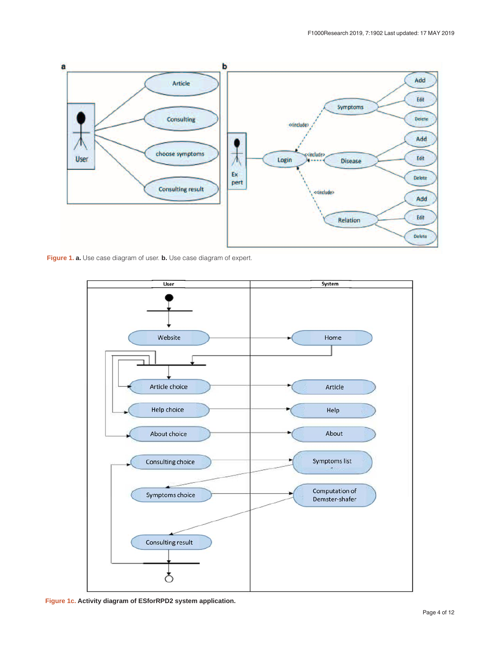<span id="page-3-0"></span>

**Figure 1. a.** Use case diagram of user. **b.** Use case diagram of expert.



**Figure 1c. Activity diagram of ESforRPD2 system application.**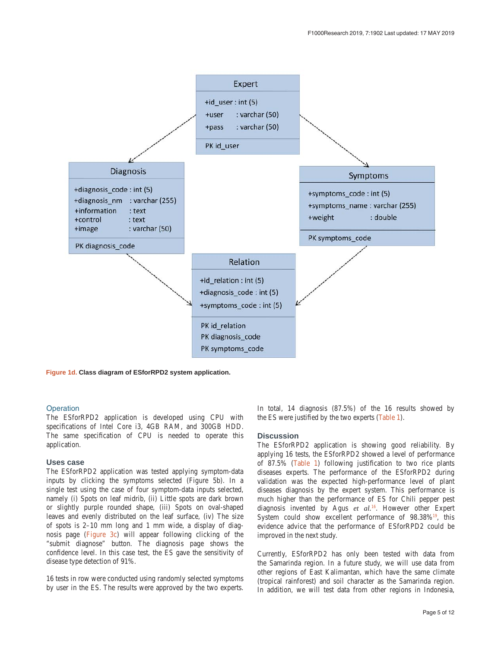

**Figure 1d. Class diagram of ESforRPD2 system application.**

#### **Operation**

The ESforRPD2 application is developed using CPU with specifications of Intel Core i3, 4GB RAM, and 300GB HDD. The same specification of CPU is needed to operate this application.

#### **Uses case**

The ESforRPD2 application was tested applying symptom-data inputs by clicking the symptoms selected (Figure 5b). In a single test using the case of four symptom-data inputs selected, namely (i) Spots on leaf midrib, (ii) Little spots are dark brown or slightly purple rounded shape, (iii) Spots on oval-shaped leaves and evenly distributed on the leaf surface, (iv) The size of spots is 2–10 mm long and 1 mm wide, a display of diagnosis page ([Figure 3c\)](#page-7-0) will appear following clicking of the "submit diagnose" button. The diagnosis page shows the confidence level. In this case test, the ES gave the sensitivity of disease type detection of 91%.

16 tests in row were conducted using randomly selected symptoms by user in the ES. The results were approved by the two experts.

In total, 14 diagnosis (87.5%) of the 16 results showed by the ES were justified by the two experts ([Table 1](#page-7-0)).

#### **Discussion**

The ESforRPD2 application is showing good reliability. By applying 16 tests, the ESforRPD2 showed a level of performance of 87.5% ([Table 1](#page-7-0)) following justification to two rice plants diseases experts. The performance of the ESforRPD2 during validation was the expected high-performance level of plant diseases diagnosis by the expert system. This performance is much higher than the performance of ES for Chili pepper pest diagnosis invented by Agus *et al.*[16](#page-8-0). However other Expert System could show excellent performance of 98.38%<sup>19</sup>, this evidence advice that the performance of ESforRPD2 could be improved in the next study.

Currently, ESforRPD2 has only been tested with data from the Samarinda region. In a future study, we will use data from other regions of East Kalimantan, which have the same climate (tropical rainforest) and soil character as the Samarinda region. In addition, we will test data from other regions in Indonesia,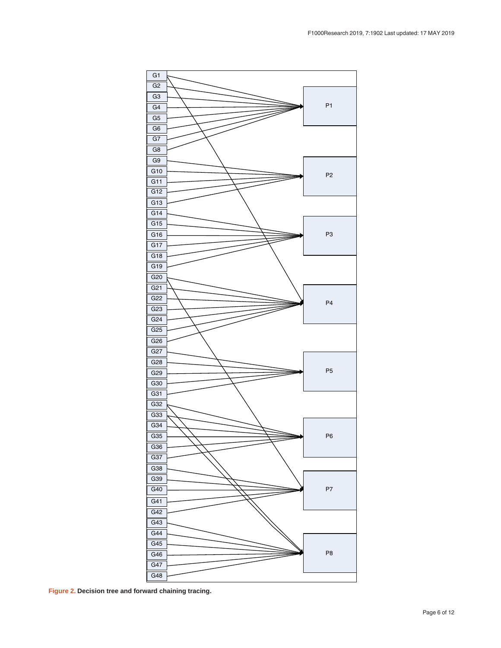<span id="page-5-0"></span>

**Figure 2. Decision tree and forward chaining tracing.**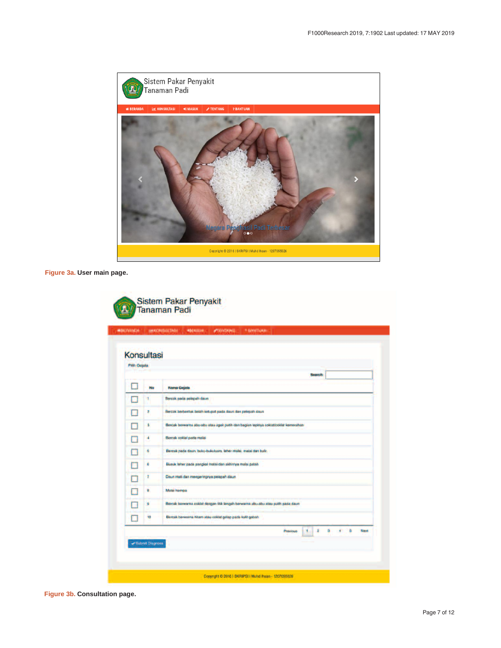<span id="page-6-0"></span>

**Figure 3a. User main page.**

| <b>Pilh Gejala</b> | <b>Konsultasi</b> |                                                                                     |
|--------------------|-------------------|-------------------------------------------------------------------------------------|
|                    |                   | Search:                                                                             |
|                    | No                | <b>Nama Gejala</b>                                                                  |
|                    | ۲                 | Bercak pada pelepah daun                                                            |
|                    | z                 | Bercak berbentuk belah ketupat pada daun dan pelepah daun                           |
|                    | s                 | Bercak berwarna abu-abu atau agak putih dari bagian tepinya coklat/coklat kemerahan |
|                    | ٠                 | Bercak cokiat pada malai                                                            |
|                    | ٠                 | Bereak pada daun, buku-bukuluars, leher malai, malai dan bulir.                     |
|                    | 6                 | Busuk leher pada pangkal malai dan akhirnya malai patah                             |
|                    | 7                 | Daun mati dan mengeringnya pelapah daun                                             |
|                    | 8                 | Malai hampa                                                                         |
|                    | 9                 | Bensak berwarna coklat dengan titik lengah berwarna abu-abu atau putih pada daun    |
|                    | to                | Semak berwarna hitam alau cokiat gelap pada kulit gabah                             |
|                    |                   | z<br>а<br><b>Previous</b><br>л.<br>5<br>Next<br>٠                                   |

**Figure 3b. Consultation page.**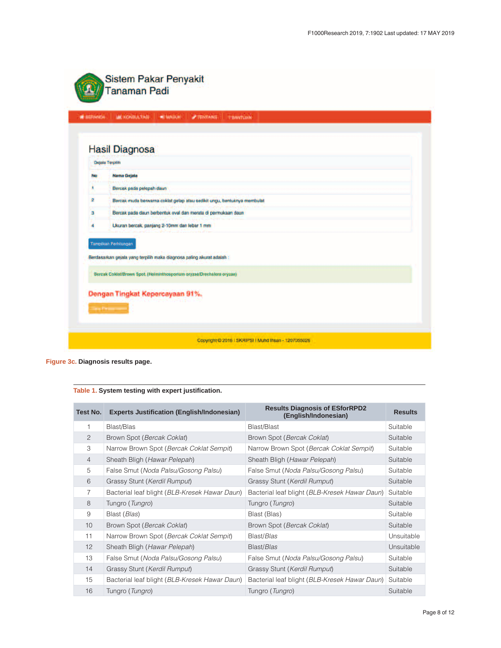<span id="page-7-0"></span>

|                         | <b>Hasil Diagnosa</b>                                                   |
|-------------------------|-------------------------------------------------------------------------|
|                         | Gejala Terpilih                                                         |
| <b>No</b><br>٠          | <b>Nama Gejala</b><br>Bercak pada pelepah daun                          |
| $\overline{\mathbf{z}}$ | Bercak muda berwarna coklat gelap atau sedikit ungu, bentuknya membulat |
| э                       | Bercak pada daun berbentuk oval dan merata di permukaan daun            |
| ٠                       | Ukuran bercak, panjang 2-10mm dan lebar 1 mm                            |
|                         | Tampilkan Perhitungan                                                   |
|                         | Berdasarkan gejala yang terpilih maka diagnosa paling akurat adalah :   |
|                         | Bercak Coklat/Brown Spot. (Helminthosporium oryzae/Drechslera oryzae)   |
|                         | Dengan Tingkat Kepercayaan 91%.                                         |

**Figure 3c. Diagnosis results page.**

| Table 1. System testing with expert justification. |  |  |  |
|----------------------------------------------------|--|--|--|
|----------------------------------------------------|--|--|--|

| Test No.       | <b>Experts Justification (English/Indonesian)</b> | <b>Results Diagnosis of ESforRPD2</b><br>(English/Indonesian) | <b>Results</b> |
|----------------|---------------------------------------------------|---------------------------------------------------------------|----------------|
| 1              | Blast/Blas                                        | Blast/Blast                                                   | Suitable       |
| $\overline{2}$ | Brown Spot (Bercak Coklat)                        | Brown Spot (Bercak Coklat)                                    | Suitable       |
| 3              | Narrow Brown Spot (Bercak Coklat Sempit)          | Narrow Brown Spot (Bercak Coklat Sempit)                      | Suitable       |
| $\overline{4}$ | Sheath Bligh (Hawar Pelepah)                      | Sheath Bligh (Hawar Pelepah)                                  | Suitable       |
| 5              | False Smut (Noda Palsu/Gosong Palsu)              | False Smut (Noda Palsu/Gosong Palsu)                          | Suitable       |
| 6              | Grassy Stunt (Kerdil Rumput)                      | Grassy Stunt (Kerdil Rumput)                                  | Suitable       |
| 7              | Bacterial leaf blight (BLB-Kresek Hawar Daun)     | Bacterial leaf blight (BLB-Kresek Hawar Daun)                 | Suitable       |
| 8              | Tungro (Tungro)                                   | Tungro (Tungro)                                               | Suitable       |
| 9              | Blast (Blas)                                      | Blast (Blas)                                                  | Suitable       |
| 10             | Brown Spot (Bercak Coklat)                        | Brown Spot (Bercak Coklat)                                    | Suitable       |
| 11             | Narrow Brown Spot (Bercak Coklat Sempit)          | Blast/Blas                                                    | Unsuitable     |
| 12             | Sheath Bligh (Hawar Pelepah)                      | Blast/Blas                                                    | Unsuitable     |
| 13             | False Smut (Noda Palsu/Gosong Palsu)              | False Smut (Noda Palsu/Gosong Palsu)                          | Suitable       |
| 14             | Grassy Stunt (Kerdil Rumput)                      | Grassy Stunt (Kerdil Rumput)                                  | Suitable       |
| 15             | Bacterial leaf blight (BLB-Kresek Hawar Daun)     | Bacterial leaf blight (BLB-Kresek Hawar Daun)                 | Suitable       |
| 16             | Tungro (Tungro)                                   | Tungro (Tungro)                                               | Suitable       |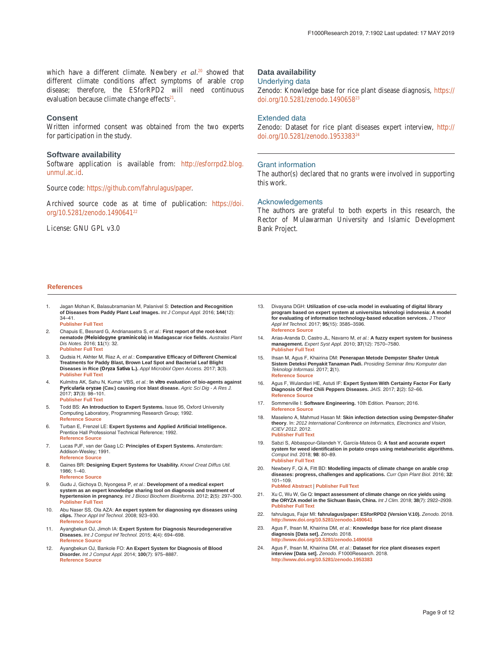<span id="page-8-0"></span>which have a different climate. Newbery *et al*. 20 showed that different climate conditions affect symptoms of arable crop disease; therefore, the ESforRPD2 will need continuous evaluation because climate change effects $21$ .

#### **Consent**

Written informed consent was obtained from the two experts for participation in the study.

#### **Software availability**

Software application is available from: [http://esforrpd2.blog.](http://esforrpd2.blog.unmul.ac.id/) [unmul.ac.id.](http://esforrpd2.blog.unmul.ac.id/)

Source code: [https://github.com/fahrulagus/paper.](https://github.com/fahrulagus/paper)

Archived source code as at time of publication: [https://doi.](https://dx.doi.org/10.5281/zenodo.1490641) [org/10.5281/zenodo.14906412](https://dx.doi.org/10.5281/zenodo.1490641)2

License: GNU GPL v3.0

#### **Data availability**

#### Underlying data

Zenodo: Knowledge base for rice plant disease diagnosis, [https://](https://dx.doi.org/10.5281/zenodo.1490658) [doi.org/10.5281/zenodo.1490658](https://dx.doi.org/10.5281/zenodo.1490658)<sup>2</sup>

#### Extended data

Zenodo: Dataset for rice plant diseases expert interview, [http://](http://dx.doi.org/10.5281/zenodo.1953383) [doi.org/10.5281/zenodo.1953383](http://dx.doi.org/10.5281/zenodo.1953383)24

#### Grant information

The author(s) declared that no grants were involved in supporting this work.

#### Acknowledgements

The authors are grateful to both experts in this research, the Rector of Mulawarman University and Islamic Development Bank Project.

#### **References**

- 1. Jagan Mohan K, Balasubramanian M, Palanivel S: **Detection and Recognition of Diseases from Paddy Plant Leaf Images.** *Int J Comput Appl.* 2016; **144**(12): 34–41. **[Publisher](http://dx.doi.org/10.5120/ijca2016910505) Full Text**
- 2. Chapuis E, Besnard G, Andrianasetra S, *et al.*: **First report of the root-knot nematode (Meloidogyne graminicola) in Madagascar rice fields.** *Australas Plant Dis Notes.* 2016; **11**(1): 32. **[Publisher](http://dx.doi.org/10.1007/s13314-016-0222-5) Full Text**
- 3. Qudsia H, Akhter M, Riaz A, *et al.*: **Comparative Efficacy of Different Chemical Treatments for Paddy Blast, Brown Leaf Spot and Bacterial Leaf Blight Diseases in Rice (Oryza Sativa L.).** *Appl Microbiol Open Access.* 2017; **3**(3). **[Publisher](http://dx.doi.org/10.4172/2471-9315.1000138) Full Text**
- 4. Kulmitra AK, Sahu N, Kumar VBS, *et al.*: **In vitro evaluation of bio-agents against Pyricularia oryzae (Cav.) causing rice blast disease.** *Agric Sci Dig - A Res J.* 2017; **37**(3): 98–101. **[Publisher](http://dx.doi.org/10.18805/asd.v37i03.8989) Full Text**
- 5. Todd BS: **An Introduction to Expert Systems.** Issue 95, Oxford University Computing Laboratory, Programming Research Group; 1992. **[Reference](https://www.cs.ox.ac.uk/files/3425/PRG95.pdf) Source**
- 6. Turban E, Frenzel LE: **Expert Systems and Applied Artificial Intelligence.** Prentice Hall Professional Technical Reference; 1992. **[Reference](https://dl.acm.org/citation.cfm?id=573712&preflayout=flat) Source**
- 7. Lucas PJF, van der Gaag LC: **Principles of Expert Systems.** Amsterdam: Addison-Wesley; 1991. **[Reference](https://www.cs.ru.nl/P.Lucas/proe.pdf) Source**
- 8. Gaines BR: **Designing Expert Systems for Usability.** *Knowl Creat Diffus Util.* 1986; 1–40. **[Reference](https://pages.cpsc.ucalgary.ca/~gaines/reports/KBS/HFES/HFES.pdf) Source**
- 9. Gudu J, Gichoya D, Nyongesa P, *et al.*: **Development of a medical expert system as an expert knowledge sharing tool on diagnosis and treatment of hypertension in pregnancy.** *Int J Biosci Biochem Bioinforma.* 2012; **2**(5): 297–300. **[Publisher](http://dx.doi.org/10.7763/IJBBB.2012.V2.120) Full Text**
- 10. Abu Naser SS, Ola AZA: **An expert system for diagnosing eye diseases using clips.** *Theor Appl Inf Technol.* 2008; 923–930. **[Reference](http://www.jatit.org/volumes/research-papers/Vol4No10/5Vol4No10.pdf) Source**
- 11. Ayangbekun OJ, Jimoh IA: **Expert System for Diagnosis Neurodegenerative Diseases.** *Int J Comput Inf Technol.* 2015; **4**(4): 694–698. **[Reference](https://www.ijcit.com/archives/volume4/issue4/Paper040413.pdf) Source**
- 12. Ayangbekun OJ, Bankole FO: **An Expert System for Diagnosis of Blood Disorder.** *Int J Comput Appl.* 2014; **100**(7): 975–8887. **[Reference](https://www.academia.edu/27016549/An_Expert_System_for_Diagnosis_of_Blood_Disorder) Source**
- 13. Divayana DGH: **Utilization of cse-ucla model in evaluating of digital library program based on expert system at universitas teknologi indonesia: A model for evaluating of information technology-based education services.** *J Theor Appl Inf Technol.* 2017; **95**(15): 3585–3596. **[Reference](http://www.jatit.org/volumes/Vol95No15/17Vol95No15.pdf) Source**
- 14. Arias-Aranda D, Castro JL, Navarro M, *et al.*: **A fuzzy expert system for business management.** *Expert Syst Appl.* 2010; **37**(12): 7570–7580. **[Publisher](http://dx.doi.org/10.1016/j.eswa.2010.04.086) Full Text**
- 15. Ihsan M, Agus F, Khairina DM: **Penerapan Metode Dempster Shafer Untuk Sistem Deteksi Penyakit Tanaman Padi.** *Prosiding Seminar Ilmu Komputer dan Teknologi Informasi.* 2017; **2**(1). **[Reference](http://e-journals.unmul.ac.id/index.php/SAKTI/article/download/249/pdf) Source**
- 16. Agus F, Wulandari HE, Astuti IF: **Expert System With Certainty Factor For Early Diagnosis Of Red Chili Peppers Diseases.** *JAIS.* 2017; **2**(2): 52–66. **[Reference](https://publikasi.dinus.ac.id/index.php/jais/article/download/1455/1182) Source**
- 17. Sommerville I: **Software Engineering.** 10th Edition. Pearson; 2016. **[Reference](https://books.google.co.in/books?id=tW4VngEACAAJ&dq=Software+Engineering,+10th+Edition+PDF&hl=en&sa=X&ved=0ahUKEwij6dX544LfAhVJK48KHUvfD9sQ6AEILjAB) Source**
- 18. Maseleno A, Mahmud Hasan M: **Skin infection detection using Dempster-Shafer theory**. In: *2012 International Conference on Informatics, Electronics and Vision, ICIEV 2012*. 2012. **[Publisher](http://dx.doi.org/10.1109/ICIEV.2012.6317330) Full Text**
- 19. Sabzi S, Abbaspour-Gilandeh Y, García-Mateos G: **A fast and accurate expert system for weed identification in potato crops using metaheuristic algorithms.** *Comput Ind.* 2018; **98**: 80–89. **[Publisher](http://dx.doi.org/10.1016/J.COMPIND.2018.03.001) Full Text**
- 20. Newbery F, Qi A, Fitt BD: **Modelling impacts of climate change on arable crop diseases: progress, challenges and applications.** *Curr Opin Plant Biol.* 2016; **32**: 101–109.
	- **PubMed [Abstract](http://www.ncbi.nlm.nih.gov/pubmed/27471781)** | **[Publisher](http://dx.doi.org/10.1016/J.PBI.2016.07.002) Full Text**
- 21. Xu C, Wu W, Ge Q: **Impact assessment of climate change on rice yields using the ORYZA model in the Sichuan Basin, China.** *Int J Clim.* 2018; **38**(7): 2922–2939. **[Publisher](http://dx.doi.org/10.1002/joc.5473) Full Text**
- 22. fahrulagus, Fajar MI: **fahrulagus/paper: ESforRPD2 (Version V.10).** *Zenodo.* 2018. **<http://www.doi.org/10.5281/zenodo.1490641>**
- 23. Agus F, Ihsan M, Khairina DM, *et al.*: **Knowledge base for rice plant disease diagnosis [Data set].** *Zenodo.* 2018. **<http://www.doi.org/10.5281/zenodo.1490658>**
- 24. Agus F, Ihsan M, Khairina DM, *et al.*: **Dataset for rice plant diseases expert interview [Data set].** *Zenodo.* F1000Research. 2018. **<http://www.doi.org/10.5281/zenodo.1953383>**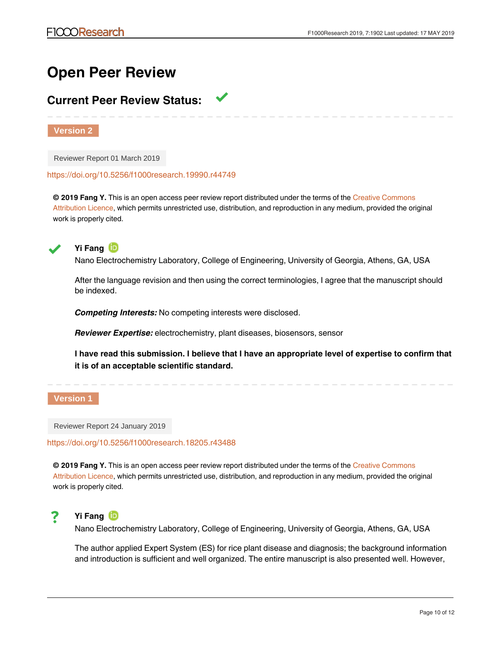## **Open Peer Review**

### **Current Peer Review Status:**

**Version 2**

Reviewer Report 01 March 2019

<https://doi.org/10.5256/f1000research.19990.r44749>

**© 2019 Fang Y.** This is an open access peer review report distributed under the terms of the [Creative Commons](https://creativecommons.org/licenses/by/4.0/) [Attribution Licence](https://creativecommons.org/licenses/by/4.0/), which permits unrestricted use, distribution, and reproduction in any medium, provided the original work is properly cited.



**Yi Fang**

Nano Electrochemistry Laboratory, College of Engineering, University of Georgia, Athens, GA, USA

After the language revision and then using the correct terminologies, I agree that the manuscript should be indexed.

*Competing Interests:* No competing interests were disclosed.

*Reviewer Expertise:* electrochemistry, plant diseases, biosensors, sensor

**I have read this submission. I believe that I have an appropriate level of expertise to confirm that it is of an acceptable scientific standard.**

#### **Version 1**

Reviewer Report 24 January 2019

<https://doi.org/10.5256/f1000research.18205.r43488>

**© 2019 Fang Y.** This is an open access peer review report distributed under the terms of the [Creative Commons](https://creativecommons.org/licenses/by/4.0/) [Attribution Licence](https://creativecommons.org/licenses/by/4.0/), which permits unrestricted use, distribution, and reproduction in any medium, provided the original work is properly cited.



Nano Electrochemistry Laboratory, College of Engineering, University of Georgia, Athens, GA, USA

the author used the word "accuracy" which is not  $\alpha$  scientific term. If  $\alpha$  accuracy is defined as  $\alpha$ 

The author applied Expert System (ES) for rice plant disease and diagnosis; the background information and introduction is sufficient and well organized. The entire manuscript is also presented well. However,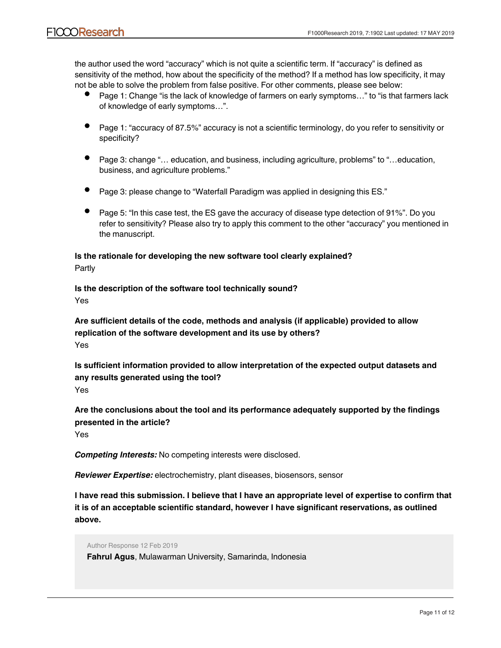the author used the word "accuracy" which is not quite a scientific term. If "accuracy" is defined as sensitivity of the method, how about the specificity of the method? If a method has low specificity, it may not be able to solve the problem from false positive. For other comments, please see below:

- Page 1: Change "is the lack of knowledge of farmers on early symptoms…" to "is that farmers lack of knowledge of early symptoms…".
- Page 1: "accuracy of 87.5%" accuracy is not a scientific terminology, do you refer to sensitivity or specificity?
- Page 3: change "… education, and business, including agriculture, problems" to "…education, business, and agriculture problems."
- Page 3: please change to "Waterfall Paradigm was applied in designing this ES."
- Page 5: "In this case test, the ES gave the accuracy of disease type detection of 91%". Do you refer to sensitivity? Please also try to apply this comment to the other "accuracy" you mentioned in the manuscript.

**Is the rationale for developing the new software tool clearly explained?** Partly

**Is the description of the software tool technically sound?** Yes

**Are sufficient details of the code, methods and analysis (if applicable) provided to allow replication of the software development and its use by others?** Yes

**Is sufficient information provided to allow interpretation of the expected output datasets and any results generated using the tool?** Yes

**Are the conclusions about the tool and its performance adequately supported by the findings presented in the article?**

Yes

*Competing Interests:* No competing interests were disclosed.

*Reviewer Expertise:* electrochemistry, plant diseases, biosensors, sensor

**I have read this submission. I believe that I have an appropriate level of expertise to confirm that it is of an acceptable scientific standard, however I have significant reservations, as outlined above.**

We are with your judgment regarding the term of accuracy. We mean the accuracy is the accuracy is the accuracy is the accuracy is the accuracy is the accuracy is the accuracy is the accuracy is the accuracy is the accurac

Author Response 12 Feb 2019 **Fahrul Agus**, Mulawarman University, Samarinda, Indonesia